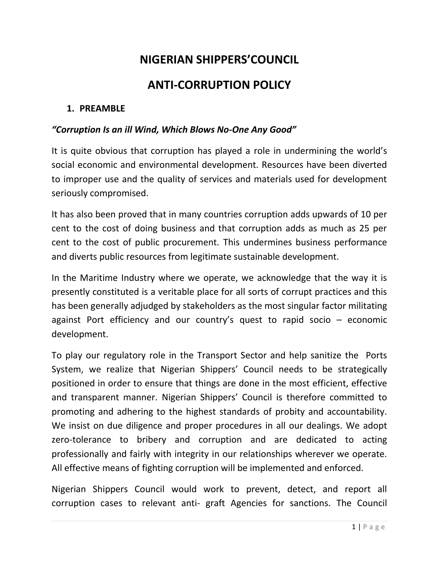# **NIGERIAN SHIPPERS'COUNCIL**

# **ANTI-CORRUPTION POLICY**

#### **1. PREAMBLE**

#### *"Corruption Is an ill Wind, Which Blows No-One Any Good"*

It is quite obvious that corruption has played a role in undermining the world's social economic and environmental development. Resources have been diverted to improper use and the quality of services and materials used for development seriously compromised.

It has also been proved that in many countries corruption adds upwards of 10 per cent to the cost of doing business and that corruption adds as much as 25 per cent to the cost of public procurement. This undermines business performance and diverts public resources from legitimate sustainable development.

In the Maritime Industry where we operate, we acknowledge that the way it is presently constituted is a veritable place for all sorts of corrupt practices and this has been generally adjudged by stakeholders as the most singular factor militating against Port efficiency and our country's quest to rapid socio – economic development.

To play our regulatory role in the Transport Sector and help sanitize the Ports System, we realize that Nigerian Shippers' Council needs to be strategically positioned in order to ensure that things are done in the most efficient, effective and transparent manner. Nigerian Shippers' Council is therefore committed to promoting and adhering to the highest standards of probity and accountability. We insist on due diligence and proper procedures in all our dealings. We adopt zero-tolerance to bribery and corruption and are dedicated to acting professionally and fairly with integrity in our relationships wherever we operate. All effective means of fighting corruption will be implemented and enforced.

Nigerian Shippers Council would work to prevent, detect, and report all corruption cases to relevant anti- graft Agencies for sanctions. The Council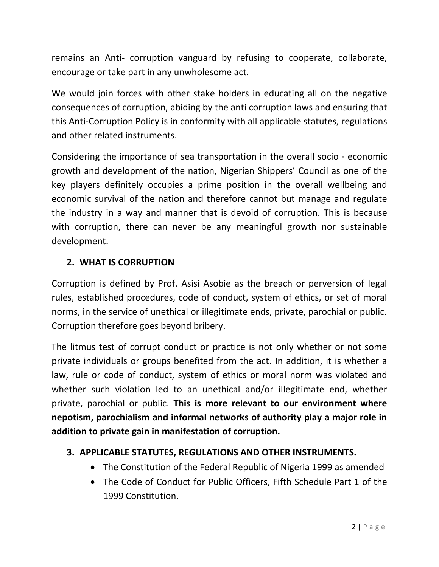remains an Anti- corruption vanguard by refusing to cooperate, collaborate, encourage or take part in any unwholesome act.

We would join forces with other stake holders in educating all on the negative consequences of corruption, abiding by the anti corruption laws and ensuring that this Anti-Corruption Policy is in conformity with all applicable statutes, regulations and other related instruments.

Considering the importance of sea transportation in the overall socio - economic growth and development of the nation, Nigerian Shippers' Council as one of the key players definitely occupies a prime position in the overall wellbeing and economic survival of the nation and therefore cannot but manage and regulate the industry in a way and manner that is devoid of corruption. This is because with corruption, there can never be any meaningful growth nor sustainable development.

## **2. WHAT IS CORRUPTION**

Corruption is defined by Prof. Asisi Asobie as the breach or perversion of legal rules, established procedures, code of conduct, system of ethics, or set of moral norms, in the service of unethical or illegitimate ends, private, parochial or public. Corruption therefore goes beyond bribery.

The litmus test of corrupt conduct or practice is not only whether or not some private individuals or groups benefited from the act. In addition, it is whether a law, rule or code of conduct, system of ethics or moral norm was violated and whether such violation led to an unethical and/or illegitimate end, whether private, parochial or public. **This is more relevant to our environment where nepotism, parochialism and informal networks of authority play a major role in addition to private gain in manifestation of corruption.**

## **3. APPLICABLE STATUTES, REGULATIONS AND OTHER INSTRUMENTS.**

- The Constitution of the Federal Republic of Nigeria 1999 as amended
- The Code of Conduct for Public Officers, Fifth Schedule Part 1 of the 1999 Constitution.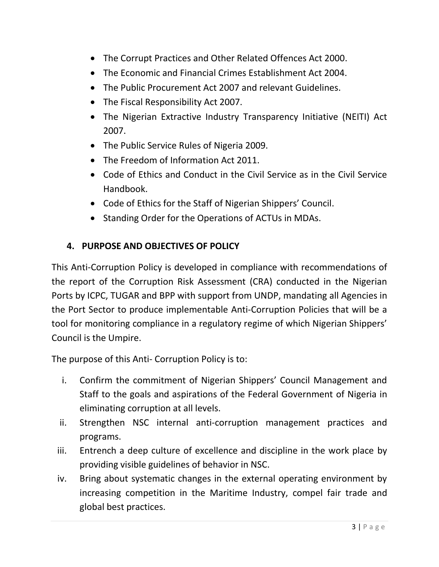- The Corrupt Practices and Other Related Offences Act 2000.
- The Economic and Financial Crimes Establishment Act 2004.
- The Public Procurement Act 2007 and relevant Guidelines.
- The Fiscal Responsibility Act 2007.
- The Nigerian Extractive Industry Transparency Initiative (NEITI) Act 2007.
- The Public Service Rules of Nigeria 2009.
- The Freedom of Information Act 2011.
- Code of Ethics and Conduct in the Civil Service as in the Civil Service Handbook.
- Code of Ethics for the Staff of Nigerian Shippers' Council.
- Standing Order for the Operations of ACTUs in MDAs.

## **4. PURPOSE AND OBJECTIVES OF POLICY**

This Anti-Corruption Policy is developed in compliance with recommendations of the report of the Corruption Risk Assessment (CRA) conducted in the Nigerian Ports by ICPC, TUGAR and BPP with support from UNDP, mandating all Agencies in the Port Sector to produce implementable Anti-Corruption Policies that will be a tool for monitoring compliance in a regulatory regime of which Nigerian Shippers' Council is the Umpire.

The purpose of this Anti- Corruption Policy is to:

- i. Confirm the commitment of Nigerian Shippers' Council Management and Staff to the goals and aspirations of the Federal Government of Nigeria in eliminating corruption at all levels.
- ii. Strengthen NSC internal anti-corruption management practices and programs.
- iii. Entrench a deep culture of excellence and discipline in the work place by providing visible guidelines of behavior in NSC.
- iv. Bring about systematic changes in the external operating environment by increasing competition in the Maritime Industry, compel fair trade and global best practices.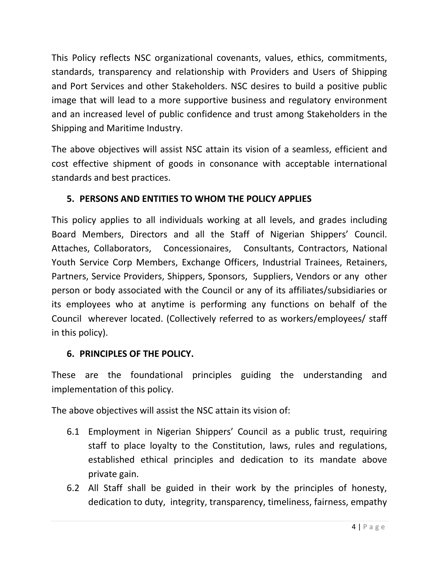This Policy reflects NSC organizational covenants, values, ethics, commitments, standards, transparency and relationship with Providers and Users of Shipping and Port Services and other Stakeholders. NSC desires to build a positive public image that will lead to a more supportive business and regulatory environment and an increased level of public confidence and trust among Stakeholders in the Shipping and Maritime Industry.

The above objectives will assist NSC attain its vision of a seamless, efficient and cost effective shipment of goods in consonance with acceptable international standards and best practices.

## **5. PERSONS AND ENTITIES TO WHOM THE POLICY APPLIES**

This policy applies to all individuals working at all levels, and grades including Board Members, Directors and all the Staff of Nigerian Shippers' Council. Attaches, Collaborators, Concessionaires, Consultants, Contractors, National Youth Service Corp Members, Exchange Officers, Industrial Trainees, Retainers, Partners, Service Providers, Shippers, Sponsors, Suppliers, Vendors or any other person or body associated with the Council or any of its affiliates/subsidiaries or its employees who at anytime is performing any functions on behalf of the Council wherever located. (Collectively referred to as workers/employees/ staff in this policy).

## **6. PRINCIPLES OF THE POLICY.**

These are the foundational principles guiding the understanding and implementation of this policy.

The above objectives will assist the NSC attain its vision of:

- 6.1 Employment in Nigerian Shippers' Council as a public trust, requiring staff to place loyalty to the Constitution, laws, rules and regulations, established ethical principles and dedication to its mandate above private gain.
- 6.2 All Staff shall be guided in their work by the principles of honesty, dedication to duty, integrity, transparency, timeliness, fairness, empathy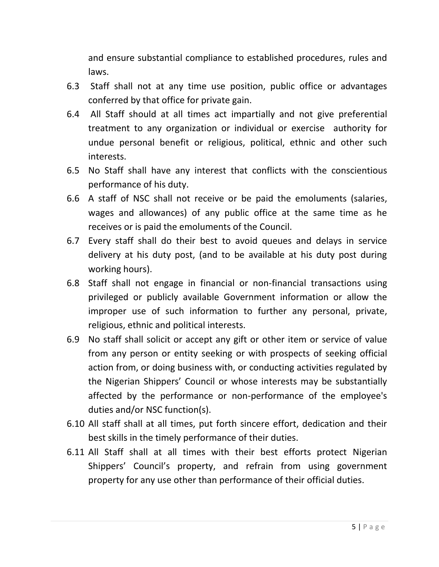and ensure substantial compliance to established procedures, rules and laws.

- 6.3 Staff shall not at any time use position, public office or advantages conferred by that office for private gain.
- 6.4 All Staff should at all times act impartially and not give preferential treatment to any organization or individual or exercise authority for undue personal benefit or religious, political, ethnic and other such interests.
- 6.5 No Staff shall have any interest that conflicts with the conscientious performance of his duty.
- 6.6 A staff of NSC shall not receive or be paid the emoluments (salaries, wages and allowances) of any public office at the same time as he receives or is paid the emoluments of the Council.
- 6.7 Every staff shall do their best to avoid queues and delays in service delivery at his duty post, (and to be available at his duty post during working hours).
- 6.8 Staff shall not engage in financial or non-financial transactions using privileged or publicly available Government information or allow the improper use of such information to further any personal, private, religious, ethnic and political interests.
- 6.9 No staff shall solicit or accept any gift or other item or service of value from any person or entity seeking or with prospects of seeking official action from, or doing business with, or conducting activities regulated by the Nigerian Shippers' Council or whose interests may be substantially affected by the performance or non-performance of the employee's duties and/or NSC function(s).
- 6.10 All staff shall at all times, put forth sincere effort, dedication and their best skills in the timely performance of their duties.
- 6.11 All Staff shall at all times with their best efforts protect Nigerian Shippers' Council's property, and refrain from using government property for any use other than performance of their official duties.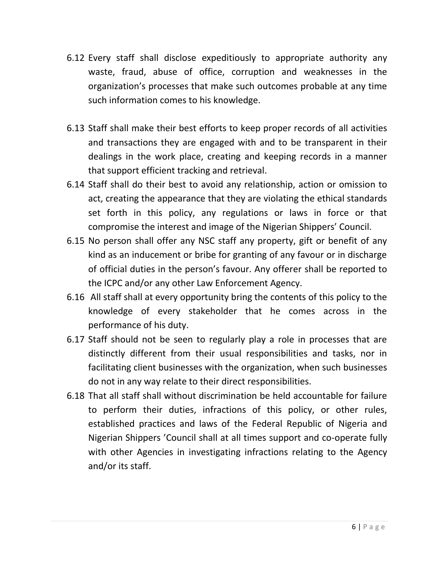- 6.12 Every staff shall disclose expeditiously to appropriate authority any waste, fraud, abuse of office, corruption and weaknesses in the organization's processes that make such outcomes probable at any time such information comes to his knowledge.
- 6.13 Staff shall make their best efforts to keep proper records of all activities and transactions they are engaged with and to be transparent in their dealings in the work place, creating and keeping records in a manner that support efficient tracking and retrieval.
- 6.14 Staff shall do their best to avoid any relationship, action or omission to act, creating the appearance that they are violating the ethical standards set forth in this policy, any regulations or laws in force or that compromise the interest and image of the Nigerian Shippers' Council.
- 6.15 No person shall offer any NSC staff any property, gift or benefit of any kind as an inducement or bribe for granting of any favour or in discharge of official duties in the person's favour. Any offerer shall be reported to the ICPC and/or any other Law Enforcement Agency.
- 6.16 All staff shall at every opportunity bring the contents of this policy to the knowledge of every stakeholder that he comes across in the performance of his duty.
- 6.17 Staff should not be seen to regularly play a role in processes that are distinctly different from their usual responsibilities and tasks, nor in facilitating client businesses with the organization, when such businesses do not in any way relate to their direct responsibilities.
- 6.18 That all staff shall without discrimination be held accountable for failure to perform their duties, infractions of this policy, or other rules, established practices and laws of the Federal Republic of Nigeria and Nigerian Shippers 'Council shall at all times support and co-operate fully with other Agencies in investigating infractions relating to the Agency and/or its staff.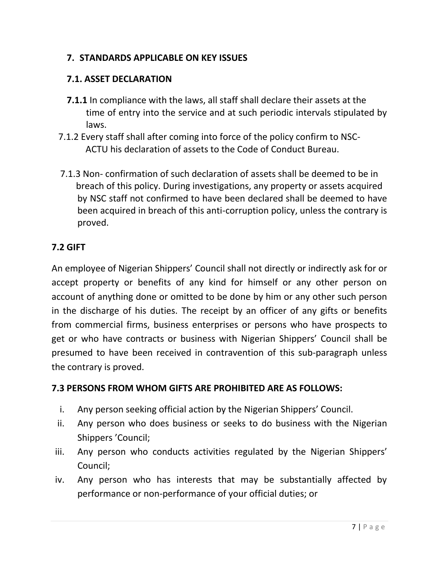## **7. STANDARDS APPLICABLE ON KEY ISSUES**

### **7.1. ASSET DECLARATION**

- **7.1.1** In compliance with the laws, all staff shall declare their assets at the time of entry into the service and at such periodic intervals stipulated by laws.
- 7.1.2 Every staff shall after coming into force of the policy confirm to NSC- ACTU his declaration of assets to the Code of Conduct Bureau.
- 7.1.3 Non- confirmation of such declaration of assets shall be deemed to be in breach of this policy. During investigations, any property or assets acquired by NSC staff not confirmed to have been declared shall be deemed to have been acquired in breach of this anti-corruption policy, unless the contrary is proved.

### **7.2 GIFT**

An employee of Nigerian Shippers' Council shall not directly or indirectly ask for or accept property or benefits of any kind for himself or any other person on account of anything done or omitted to be done by him or any other such person in the discharge of his duties. The receipt by an officer of any gifts or benefits from commercial firms, business enterprises or persons who have prospects to get or who have contracts or business with Nigerian Shippers' Council shall be presumed to have been received in contravention of this sub-paragraph unless the contrary is proved.

#### **7.3 PERSONS FROM WHOM GIFTS ARE PROHIBITED ARE AS FOLLOWS:**

- i. Any person seeking official action by the Nigerian Shippers' Council.
- ii. Any person who does business or seeks to do business with the Nigerian Shippers 'Council;
- iii. Any person who conducts activities regulated by the Nigerian Shippers' Council;
- iv. Any person who has interests that may be substantially affected by performance or non-performance of your official duties; or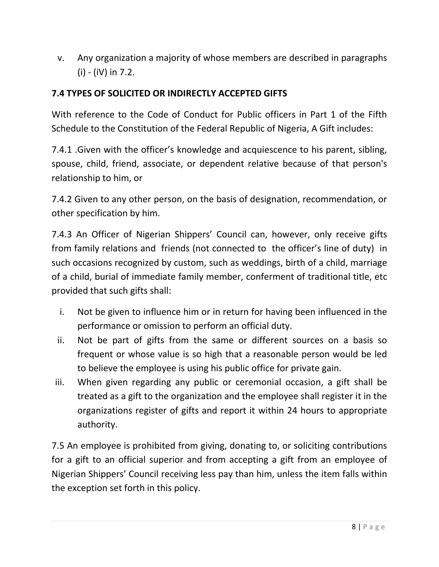v. Any organization a majority of whose members are described in paragraphs (i) - (iV) in 7.2.

## **7.4 TYPES OF SOLICITED OR INDIRECTLY ACCEPTED GIFTS**

With reference to the Code of Conduct for Public officers in Part 1 of the Fifth Schedule to the Constitution of the Federal Republic of Nigeria, A Gift includes:

7.4.1 .Given with the officer's knowledge and acquiescence to his parent, sibling, spouse, child, friend, associate, or dependent relative because of that person's relationship to him, or

7.4.2 Given to any other person, on the basis of designation, recommendation, or other specification by him.

7.4.3 An Officer of Nigerian Shippers' Council can, however, only receive gifts from family relations and friends (not connected to the officer's line of duty) in such occasions recognized by custom, such as weddings, birth of a child, marriage of a child, burial of immediate family member, conferment of traditional title, etc provided that such gifts shall:

- i. Not be given to influence him or in return for having been influenced in the performance or omission to perform an official duty.
- ii. Not be part of gifts from the same or different sources on a basis so frequent or whose value is so high that a reasonable person would be led to believe the employee is using his public office for private gain.
- iii. When given regarding any public or ceremonial occasion, a gift shall be treated as a gift to the organization and the employee shall register it in the organizations register of gifts and report it within 24 hours to appropriate authority.

7.5 An employee is prohibited from giving, donating to, or soliciting contributions for a gift to an official superior and from accepting a gift from an employee of Nigerian Shippers' Council receiving less pay than him, unless the item falls within the exception set forth in this policy.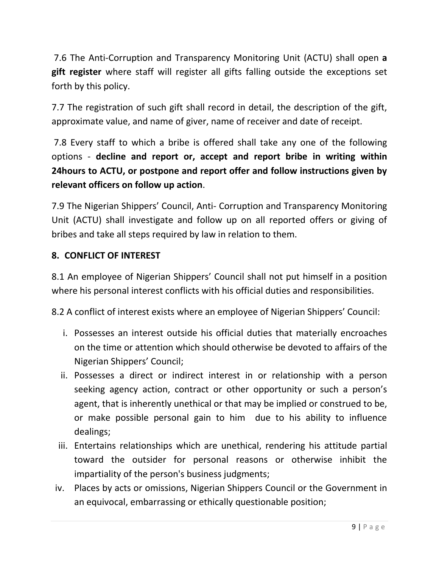7.6 The Anti-Corruption and Transparency Monitoring Unit (ACTU) shall open **a gift register** where staff will register all gifts falling outside the exceptions set forth by this policy.

7.7 The registration of such gift shall record in detail, the description of the gift, approximate value, and name of giver, name of receiver and date of receipt.

7.8 Every staff to which a bribe is offered shall take any one of the following options - **decline and report or, accept and report bribe in writing within 24hours to ACTU, or postpone and report offer and follow instructions given by relevant officers on follow up action**.

7.9 The Nigerian Shippers' Council, Anti- Corruption and Transparency Monitoring Unit (ACTU) shall investigate and follow up on all reported offers or giving of bribes and take all steps required by law in relation to them.

## **8. CONFLICT OF INTEREST**

8.1 An employee of Nigerian Shippers' Council shall not put himself in a position where his personal interest conflicts with his official duties and responsibilities.

8.2 A conflict of interest exists where an employee of Nigerian Shippers' Council:

- i. Possesses an interest outside his official duties that materially encroaches on the time or attention which should otherwise be devoted to affairs of the Nigerian Shippers' Council;
- ii. Possesses a direct or indirect interest in or relationship with a person seeking agency action, contract or other opportunity or such a person's agent, that is inherently unethical or that may be implied or construed to be, or make possible personal gain to him due to his ability to influence dealings;
- iii. Entertains relationships which are unethical, rendering his attitude partial toward the outsider for personal reasons or otherwise inhibit the impartiality of the person's business judgments;
- iv. Places by acts or omissions, Nigerian Shippers Council or the Government in an equivocal, embarrassing or ethically questionable position;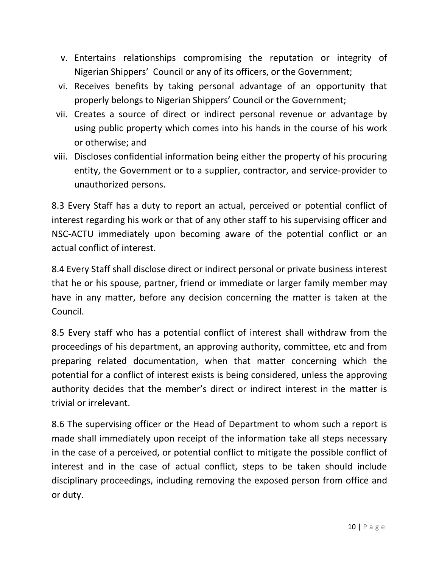- v. Entertains relationships compromising the reputation or integrity of Nigerian Shippers' Council or any of its officers, or the Government;
- vi. Receives benefits by taking personal advantage of an opportunity that properly belongs to Nigerian Shippers' Council or the Government;
- vii. Creates a source of direct or indirect personal revenue or advantage by using public property which comes into his hands in the course of his work or otherwise; and
- viii. Discloses confidential information being either the property of his procuring entity, the Government or to a supplier, contractor, and service-provider to unauthorized persons.

8.3 Every Staff has a duty to report an actual, perceived or potential conflict of interest regarding his work or that of any other staff to his supervising officer and NSC-ACTU immediately upon becoming aware of the potential conflict or an actual conflict of interest.

8.4 Every Staff shall disclose direct or indirect personal or private business interest that he or his spouse, partner, friend or immediate or larger family member may have in any matter, before any decision concerning the matter is taken at the Council.

8.5 Every staff who has a potential conflict of interest shall withdraw from the proceedings of his department, an approving authority, committee, etc and from preparing related documentation, when that matter concerning which the potential for a conflict of interest exists is being considered, unless the approving authority decides that the member's direct or indirect interest in the matter is trivial or irrelevant.

8.6 The supervising officer or the Head of Department to whom such a report is made shall immediately upon receipt of the information take all steps necessary in the case of a perceived, or potential conflict to mitigate the possible conflict of interest and in the case of actual conflict, steps to be taken should include disciplinary proceedings, including removing the exposed person from office and or duty.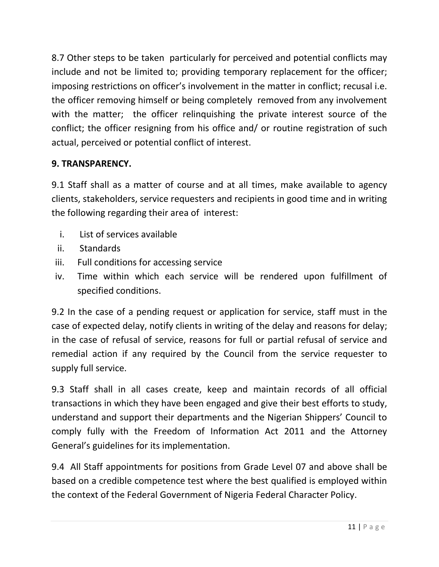8.7 Other steps to be taken particularly for perceived and potential conflicts may include and not be limited to; providing temporary replacement for the officer; imposing restrictions on officer's involvement in the matter in conflict; recusal i.e. the officer removing himself or being completely removed from any involvement with the matter; the officer relinquishing the private interest source of the conflict; the officer resigning from his office and/ or routine registration of such actual, perceived or potential conflict of interest.

## **9. TRANSPARENCY.**

9.1 Staff shall as a matter of course and at all times, make available to agency clients, stakeholders, service requesters and recipients in good time and in writing the following regarding their area of interest:

- i. List of services available
- ii. Standards
- iii. Full conditions for accessing service
- iv. Time within which each service will be rendered upon fulfillment of specified conditions.

9.2 In the case of a pending request or application for service, staff must in the case of expected delay, notify clients in writing of the delay and reasons for delay; in the case of refusal of service, reasons for full or partial refusal of service and remedial action if any required by the Council from the service requester to supply full service.

9.3 Staff shall in all cases create, keep and maintain records of all official transactions in which they have been engaged and give their best efforts to study, understand and support their departments and the Nigerian Shippers' Council to comply fully with the Freedom of Information Act 2011 and the Attorney General's guidelines for its implementation.

9.4 All Staff appointments for positions from Grade Level 07 and above shall be based on a credible competence test where the best qualified is employed within the context of the Federal Government of Nigeria Federal Character Policy.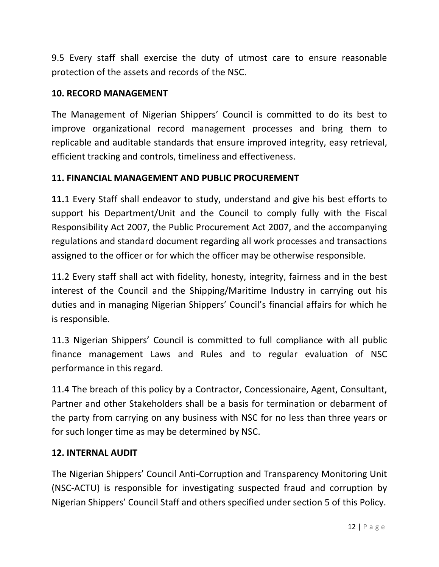9.5 Every staff shall exercise the duty of utmost care to ensure reasonable protection of the assets and records of the NSC.

## **10. RECORD MANAGEMENT**

The Management of Nigerian Shippers' Council is committed to do its best to improve organizational record management processes and bring them to replicable and auditable standards that ensure improved integrity, easy retrieval, efficient tracking and controls, timeliness and effectiveness.

### **11. FINANCIAL MANAGEMENT AND PUBLIC PROCUREMENT**

**11.**1 Every Staff shall endeavor to study, understand and give his best efforts to support his Department/Unit and the Council to comply fully with the Fiscal Responsibility Act 2007, the Public Procurement Act 2007, and the accompanying regulations and standard document regarding all work processes and transactions assigned to the officer or for which the officer may be otherwise responsible.

11.2 Every staff shall act with fidelity, honesty, integrity, fairness and in the best interest of the Council and the Shipping/Maritime Industry in carrying out his duties and in managing Nigerian Shippers' Council's financial affairs for which he is responsible.

11.3 Nigerian Shippers' Council is committed to full compliance with all public finance management Laws and Rules and to regular evaluation of NSC performance in this regard.

11.4 The breach of this policy by a Contractor, Concessionaire, Agent, Consultant, Partner and other Stakeholders shall be a basis for termination or debarment of the party from carrying on any business with NSC for no less than three years or for such longer time as may be determined by NSC.

#### **12. INTERNAL AUDIT**

The Nigerian Shippers' Council Anti-Corruption and Transparency Monitoring Unit (NSC-ACTU) is responsible for investigating suspected fraud and corruption by Nigerian Shippers' Council Staff and others specified under section 5 of this Policy.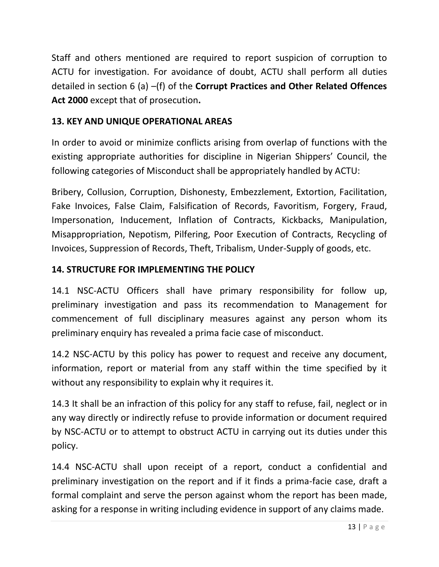Staff and others mentioned are required to report suspicion of corruption to ACTU for investigation. For avoidance of doubt, ACTU shall perform all duties detailed in section 6 (a) –(f) of the **Corrupt Practices and Other Related Offences Act 2000** except that of prosecution**.**

## **13. KEY AND UNIQUE OPERATIONAL AREAS**

In order to avoid or minimize conflicts arising from overlap of functions with the existing appropriate authorities for discipline in Nigerian Shippers' Council, the following categories of Misconduct shall be appropriately handled by ACTU:

Bribery, Collusion, Corruption, Dishonesty, Embezzlement, Extortion, Facilitation, Fake Invoices, False Claim, Falsification of Records, Favoritism, Forgery, Fraud, Impersonation, Inducement, Inflation of Contracts, Kickbacks, Manipulation, Misappropriation, Nepotism, Pilfering, Poor Execution of Contracts, Recycling of Invoices, Suppression of Records, Theft, Tribalism, Under-Supply of goods, etc.

## **14. STRUCTURE FOR IMPLEMENTING THE POLICY**

14.1 NSC-ACTU Officers shall have primary responsibility for follow up, preliminary investigation and pass its recommendation to Management for commencement of full disciplinary measures against any person whom its preliminary enquiry has revealed a prima facie case of misconduct.

14.2 NSC-ACTU by this policy has power to request and receive any document, information, report or material from any staff within the time specified by it without any responsibility to explain why it requires it.

14.3 It shall be an infraction of this policy for any staff to refuse, fail, neglect or in any way directly or indirectly refuse to provide information or document required by NSC-ACTU or to attempt to obstruct ACTU in carrying out its duties under this policy.

14.4 NSC-ACTU shall upon receipt of a report, conduct a confidential and preliminary investigation on the report and if it finds a prima-facie case, draft a formal complaint and serve the person against whom the report has been made, asking for a response in writing including evidence in support of any claims made.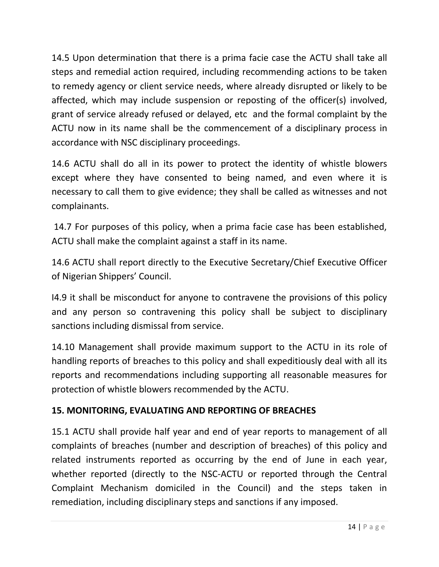14.5 Upon determination that there is a prima facie case the ACTU shall take all steps and remedial action required, including recommending actions to be taken to remedy agency or client service needs, where already disrupted or likely to be affected, which may include suspension or reposting of the officer(s) involved, grant of service already refused or delayed, etc and the formal complaint by the ACTU now in its name shall be the commencement of a disciplinary process in accordance with NSC disciplinary proceedings.

14.6 ACTU shall do all in its power to protect the identity of whistle blowers except where they have consented to being named, and even where it is necessary to call them to give evidence; they shall be called as witnesses and not complainants.

14.7 For purposes of this policy, when a prima facie case has been established, ACTU shall make the complaint against a staff in its name.

14.6 ACTU shall report directly to the Executive Secretary/Chief Executive Officer of Nigerian Shippers' Council.

I4.9 it shall be misconduct for anyone to contravene the provisions of this policy and any person so contravening this policy shall be subject to disciplinary sanctions including dismissal from service.

14.10 Management shall provide maximum support to the ACTU in its role of handling reports of breaches to this policy and shall expeditiously deal with all its reports and recommendations including supporting all reasonable measures for protection of whistle blowers recommended by the ACTU.

## **15. MONITORING, EVALUATING AND REPORTING OF BREACHES**

15.1 ACTU shall provide half year and end of year reports to management of all complaints of breaches (number and description of breaches) of this policy and related instruments reported as occurring by the end of June in each year, whether reported (directly to the NSC-ACTU or reported through the Central Complaint Mechanism domiciled in the Council) and the steps taken in remediation, including disciplinary steps and sanctions if any imposed.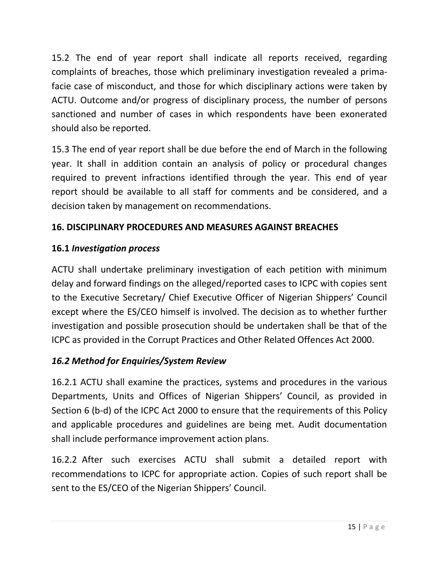15.2 The end of year report shall indicate all reports received, regarding complaints of breaches, those which preliminary investigation revealed a primafacie case of misconduct, and those for which disciplinary actions were taken by ACTU. Outcome and/or progress of disciplinary process, the number of persons sanctioned and number of cases in which respondents have been exonerated should also be reported.

15.3 The end of year report shall be due before the end of March in the following year. It shall in addition contain an analysis of policy or procedural changes required to prevent infractions identified through the year. This end of year report should be available to all staff for comments and be considered, and a decision taken by management on recommendations.

## **16. DISCIPLINARY PROCEDURES AND MEASURES AGAINST BREACHES**

## **16.1** *Investigation process*

ACTU shall undertake preliminary investigation of each petition with minimum delay and forward findings on the alleged/reported cases to ICPC with copies sent to the Executive Secretary/ Chief Executive Officer of Nigerian Shippers' Council except where the ES/CEO himself is involved. The decision as to whether further investigation and possible prosecution should be undertaken shall be that of the ICPC as provided in the Corrupt Practices and Other Related Offences Act 2000.

## *16.2 Method for Enquiries/System Review*

16.2.1 ACTU shall examine the practices, systems and procedures in the various Departments, Units and Offices of Nigerian Shippers' Council, as provided in Section 6 (b-d) of the ICPC Act 2000 to ensure that the requirements of this Policy and applicable procedures and guidelines are being met. Audit documentation shall include performance improvement action plans.

16.2.2 After such exercises ACTU shall submit a detailed report with recommendations to ICPC for appropriate action. Copies of such report shall be sent to the ES/CEO of the Nigerian Shippers' Council.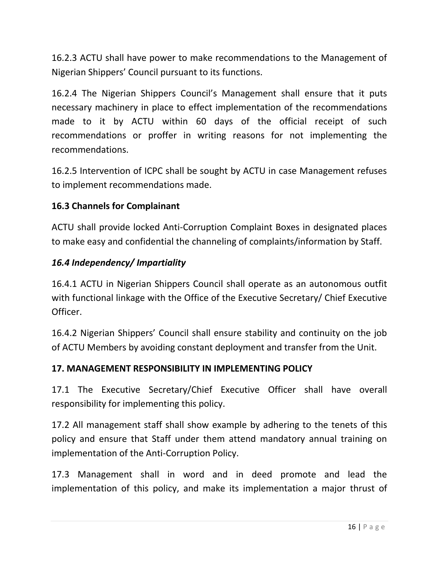16.2.3 ACTU shall have power to make recommendations to the Management of Nigerian Shippers' Council pursuant to its functions.

16.2.4 The Nigerian Shippers Council's Management shall ensure that it puts necessary machinery in place to effect implementation of the recommendations made to it by ACTU within 60 days of the official receipt of such recommendations or proffer in writing reasons for not implementing the recommendations.

16.2.5 Intervention of ICPC shall be sought by ACTU in case Management refuses to implement recommendations made.

### **16.3 Channels for Complainant**

ACTU shall provide locked Anti-Corruption Complaint Boxes in designated places to make easy and confidential the channeling of complaints/information by Staff.

### *16.4 Independency/ Impartiality*

16.4.1 ACTU in Nigerian Shippers Council shall operate as an autonomous outfit with functional linkage with the Office of the Executive Secretary/ Chief Executive Officer.

16.4.2 Nigerian Shippers' Council shall ensure stability and continuity on the job of ACTU Members by avoiding constant deployment and transfer from the Unit.

#### **17. MANAGEMENT RESPONSIBILITY IN IMPLEMENTING POLICY**

17.1 The Executive Secretary/Chief Executive Officer shall have overall responsibility for implementing this policy.

17.2 All management staff shall show example by adhering to the tenets of this policy and ensure that Staff under them attend mandatory annual training on implementation of the Anti-Corruption Policy.

17.3 Management shall in word and in deed promote and lead the implementation of this policy, and make its implementation a major thrust of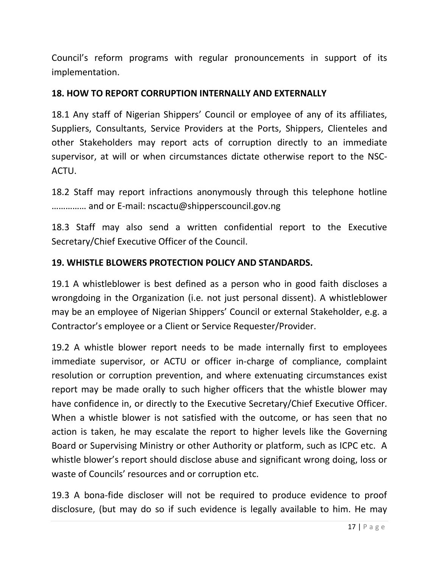Council's reform programs with regular pronouncements in support of its implementation.

#### **18. HOW TO REPORT CORRUPTION INTERNALLY AND EXTERNALLY**

18.1 Any staff of Nigerian Shippers' Council or employee of any of its affiliates, Suppliers, Consultants, Service Providers at the Ports, Shippers, Clienteles and other Stakeholders may report acts of corruption directly to an immediate supervisor, at will or when circumstances dictate otherwise report to the NSC-ACTU.

18.2 Staff may report infractions anonymously through this telephone hotline …………… and or E-mail: nscactu@shipperscouncil.gov.ng

18.3 Staff may also send a written confidential report to the Executive Secretary/Chief Executive Officer of the Council.

### **19. WHISTLE BLOWERS PROTECTION POLICY AND STANDARDS.**

19.1 A whistleblower is best defined as a person who in good faith discloses a wrongdoing in the Organization (i.e. not just personal dissent). A whistleblower may be an employee of Nigerian Shippers' Council or external Stakeholder, e.g. a Contractor's employee or a Client or Service Requester/Provider.

19.2 A whistle blower report needs to be made internally first to employees immediate supervisor, or ACTU or officer in-charge of compliance, complaint resolution or corruption prevention, and where extenuating circumstances exist report may be made orally to such higher officers that the whistle blower may have confidence in, or directly to the Executive Secretary/Chief Executive Officer. When a whistle blower is not satisfied with the outcome, or has seen that no action is taken, he may escalate the report to higher levels like the Governing Board or Supervising Ministry or other Authority or platform, such as ICPC etc. A whistle blower's report should disclose abuse and significant wrong doing, loss or waste of Councils' resources and or corruption etc.

19.3 A bona-fide discloser will not be required to produce evidence to proof disclosure, (but may do so if such evidence is legally available to him. He may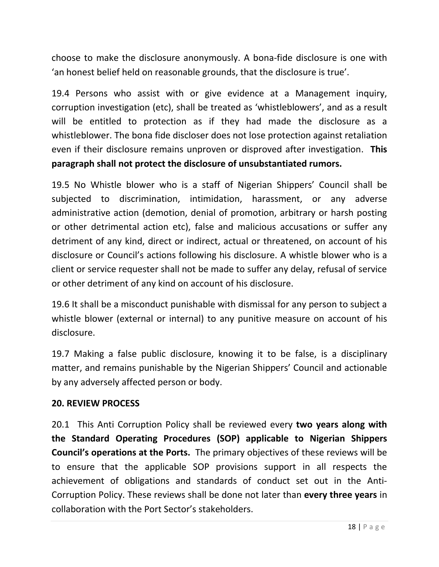choose to make the disclosure anonymously. A bona-fide disclosure is one with 'an honest belief held on reasonable grounds, that the disclosure is true'.

19.4 Persons who assist with or give evidence at a Management inquiry, corruption investigation (etc), shall be treated as 'whistleblowers', and as a result will be entitled to protection as if they had made the disclosure as a whistleblower. The bona fide discloser does not lose protection against retaliation even if their disclosure remains unproven or disproved after investigation. **This paragraph shall not protect the disclosure of unsubstantiated rumors.**

19.5 No Whistle blower who is a staff of Nigerian Shippers' Council shall be subjected to discrimination, intimidation, harassment, or any adverse administrative action (demotion, denial of promotion, arbitrary or harsh posting or other detrimental action etc), false and malicious accusations or suffer any detriment of any kind, direct or indirect, actual or threatened, on account of his disclosure or Council's actions following his disclosure. A whistle blower who is a client or service requester shall not be made to suffer any delay, refusal of service or other detriment of any kind on account of his disclosure.

19.6 It shall be a misconduct punishable with dismissal for any person to subject a whistle blower (external or internal) to any punitive measure on account of his disclosure.

19.7 Making a false public disclosure, knowing it to be false, is a disciplinary matter, and remains punishable by the Nigerian Shippers' Council and actionable by any adversely affected person or body.

#### **20. REVIEW PROCESS**

20.1 This Anti Corruption Policy shall be reviewed every **two years along with the Standard Operating Procedures (SOP) applicable to Nigerian Shippers Council's operations at the Ports.** The primary objectives of these reviews will be to ensure that the applicable SOP provisions support in all respects the achievement of obligations and standards of conduct set out in the Anti-Corruption Policy. These reviews shall be done not later than **every three years** in collaboration with the Port Sector's stakeholders.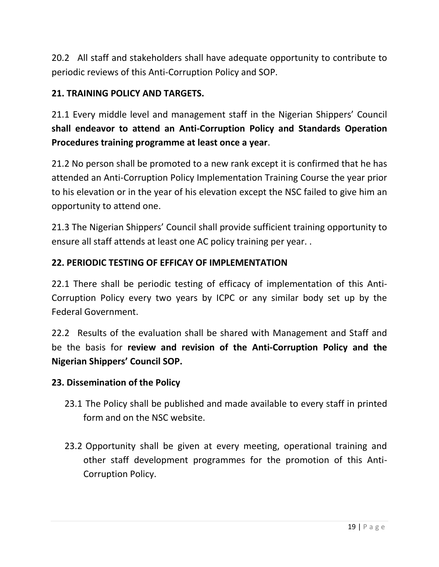20.2 All staff and stakeholders shall have adequate opportunity to contribute to periodic reviews of this Anti-Corruption Policy and SOP.

## **21. TRAINING POLICY AND TARGETS.**

21.1 Every middle level and management staff in the Nigerian Shippers' Council **shall endeavor to attend an Anti-Corruption Policy and Standards Operation Procedures training programme at least once a year**.

21.2 No person shall be promoted to a new rank except it is confirmed that he has attended an Anti-Corruption Policy Implementation Training Course the year prior to his elevation or in the year of his elevation except the NSC failed to give him an opportunity to attend one.

21.3 The Nigerian Shippers' Council shall provide sufficient training opportunity to ensure all staff attends at least one AC policy training per year. .

#### **22. PERIODIC TESTING OF EFFICAY OF IMPLEMENTATION**

22.1 There shall be periodic testing of efficacy of implementation of this Anti-Corruption Policy every two years by ICPC or any similar body set up by the Federal Government.

22.2 Results of the evaluation shall be shared with Management and Staff and be the basis for **review and revision of the Anti-Corruption Policy and the Nigerian Shippers' Council SOP.**

#### **23. Dissemination of the Policy**

- 23.1 The Policy shall be published and made available to every staff in printed form and on the NSC website.
- 23.2 Opportunity shall be given at every meeting, operational training and other staff development programmes for the promotion of this Anti-Corruption Policy.